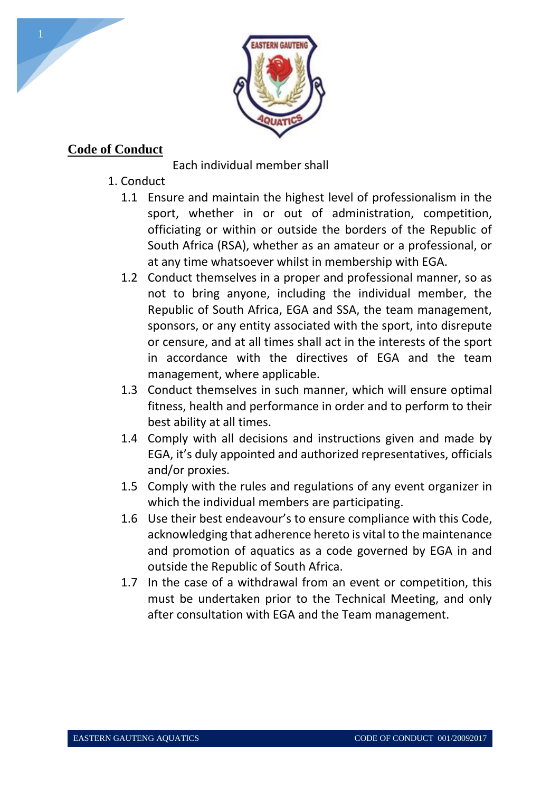

# **Code of Conduct**

Each individual member shall

- 1. Conduct
	- 1.1 Ensure and maintain the highest level of professionalism in the sport, whether in or out of administration, competition, officiating or within or outside the borders of the Republic of South Africa (RSA), whether as an amateur or a professional, or at any time whatsoever whilst in membership with EGA.
	- 1.2 Conduct themselves in a proper and professional manner, so as not to bring anyone, including the individual member, the Republic of South Africa, EGA and SSA, the team management, sponsors, or any entity associated with the sport, into disrepute or censure, and at all times shall act in the interests of the sport in accordance with the directives of EGA and the team management, where applicable.
	- 1.3 Conduct themselves in such manner, which will ensure optimal fitness, health and performance in order and to perform to their best ability at all times.
	- 1.4 Comply with all decisions and instructions given and made by EGA, it's duly appointed and authorized representatives, officials and/or proxies.
	- 1.5 Comply with the rules and regulations of any event organizer in which the individual members are participating.
	- 1.6 Use their best endeavour's to ensure compliance with this Code, acknowledging that adherence hereto is vital to the maintenance and promotion of aquatics as a code governed by EGA in and outside the Republic of South Africa.
	- 1.7 In the case of a withdrawal from an event or competition, this must be undertaken prior to the Technical Meeting, and only after consultation with EGA and the Team management.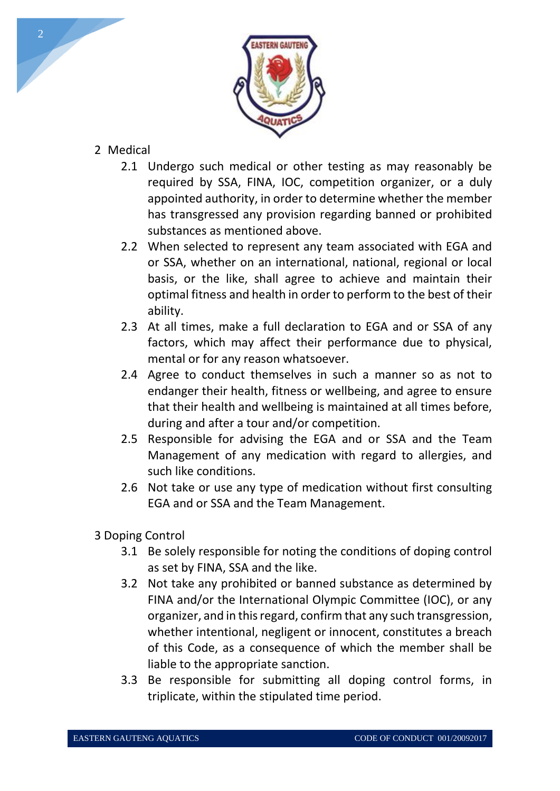

## 2 Medical

- 2.1 Undergo such medical or other testing as may reasonably be required by SSA, FINA, IOC, competition organizer, or a duly appointed authority, in order to determine whether the member has transgressed any provision regarding banned or prohibited substances as mentioned above.
- 2.2 When selected to represent any team associated with EGA and or SSA, whether on an international, national, regional or local basis, or the like, shall agree to achieve and maintain their optimal fitness and health in order to perform to the best of their ability.
- 2.3 At all times, make a full declaration to EGA and or SSA of any factors, which may affect their performance due to physical, mental or for any reason whatsoever.
- 2.4 Agree to conduct themselves in such a manner so as not to endanger their health, fitness or wellbeing, and agree to ensure that their health and wellbeing is maintained at all times before, during and after a tour and/or competition.
- 2.5 Responsible for advising the EGA and or SSA and the Team Management of any medication with regard to allergies, and such like conditions.
- 2.6 Not take or use any type of medication without first consulting EGA and or SSA and the Team Management.
- 3 Doping Control
	- 3.1 Be solely responsible for noting the conditions of doping control as set by FINA, SSA and the like.
	- 3.2 Not take any prohibited or banned substance as determined by FINA and/or the International Olympic Committee (IOC), or any organizer, and in this regard, confirm that any such transgression, whether intentional, negligent or innocent, constitutes a breach of this Code, as a consequence of which the member shall be liable to the appropriate sanction.
	- 3.3 Be responsible for submitting all doping control forms, in triplicate, within the stipulated time period.

2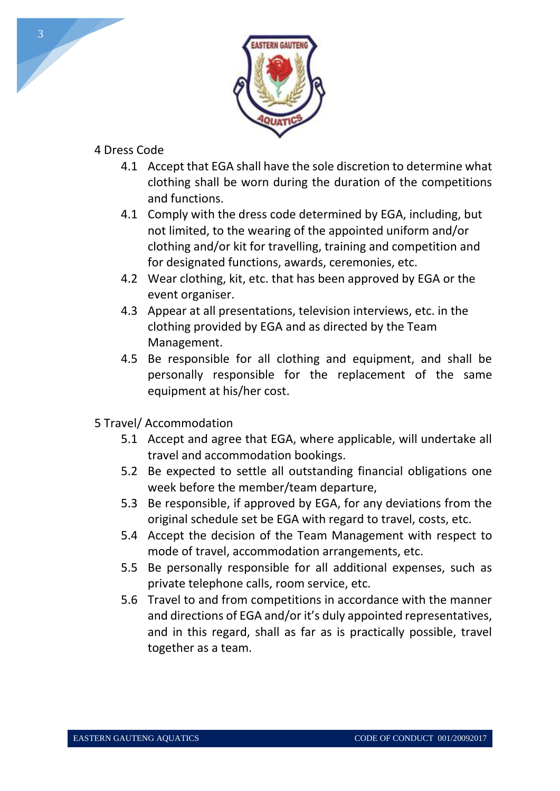

## 4 Dress Code

- 4.1 Accept that EGA shall have the sole discretion to determine what clothing shall be worn during the duration of the competitions and functions.
- 4.1 Comply with the dress code determined by EGA, including, but not limited, to the wearing of the appointed uniform and/or clothing and/or kit for travelling, training and competition and for designated functions, awards, ceremonies, etc.
- 4.2 Wear clothing, kit, etc. that has been approved by EGA or the event organiser.
- 4.3 Appear at all presentations, television interviews, etc. in the clothing provided by EGA and as directed by the Team Management.
- 4.5 Be responsible for all clothing and equipment, and shall be personally responsible for the replacement of the same equipment at his/her cost.
- 5 Travel/ Accommodation
	- 5.1 Accept and agree that EGA, where applicable, will undertake all travel and accommodation bookings.
	- 5.2 Be expected to settle all outstanding financial obligations one week before the member/team departure,
	- 5.3 Be responsible, if approved by EGA, for any deviations from the original schedule set be EGA with regard to travel, costs, etc.
	- 5.4 Accept the decision of the Team Management with respect to mode of travel, accommodation arrangements, etc.
	- 5.5 Be personally responsible for all additional expenses, such as private telephone calls, room service, etc.
	- 5.6 Travel to and from competitions in accordance with the manner and directions of EGA and/or it's duly appointed representatives, and in this regard, shall as far as is practically possible, travel together as a team.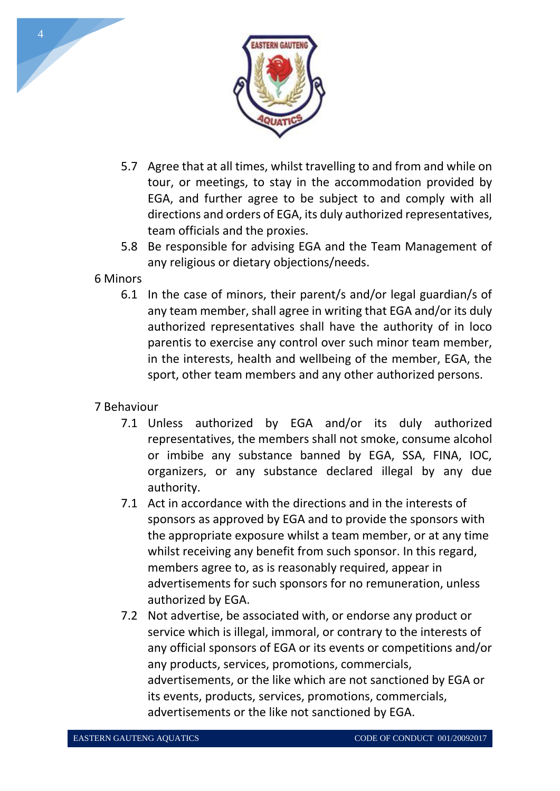

- 5.7 Agree that at all times, whilst travelling to and from and while on tour, or meetings, to stay in the accommodation provided by EGA, and further agree to be subject to and comply with all directions and orders of EGA, its duly authorized representatives, team officials and the proxies.
- 5.8 Be responsible for advising EGA and the Team Management of any religious or dietary objections/needs.

#### 6 Minors

6.1 In the case of minors, their parent/s and/or legal guardian/s of any team member, shall agree in writing that EGA and/or its duly authorized representatives shall have the authority of in loco parentis to exercise any control over such minor team member, in the interests, health and wellbeing of the member, EGA, the sport, other team members and any other authorized persons.

## 7 Behaviour

- 7.1 Unless authorized by EGA and/or its duly authorized representatives, the members shall not smoke, consume alcohol or imbibe any substance banned by EGA, SSA, FINA, IOC, organizers, or any substance declared illegal by any due authority.
- 7.1 Act in accordance with the directions and in the interests of sponsors as approved by EGA and to provide the sponsors with the appropriate exposure whilst a team member, or at any time whilst receiving any benefit from such sponsor. In this regard, members agree to, as is reasonably required, appear in advertisements for such sponsors for no remuneration, unless authorized by EGA.
- 7.2 Not advertise, be associated with, or endorse any product or service which is illegal, immoral, or contrary to the interests of any official sponsors of EGA or its events or competitions and/or any products, services, promotions, commercials, advertisements, or the like which are not sanctioned by EGA or its events, products, services, promotions, commercials, advertisements or the like not sanctioned by EGA.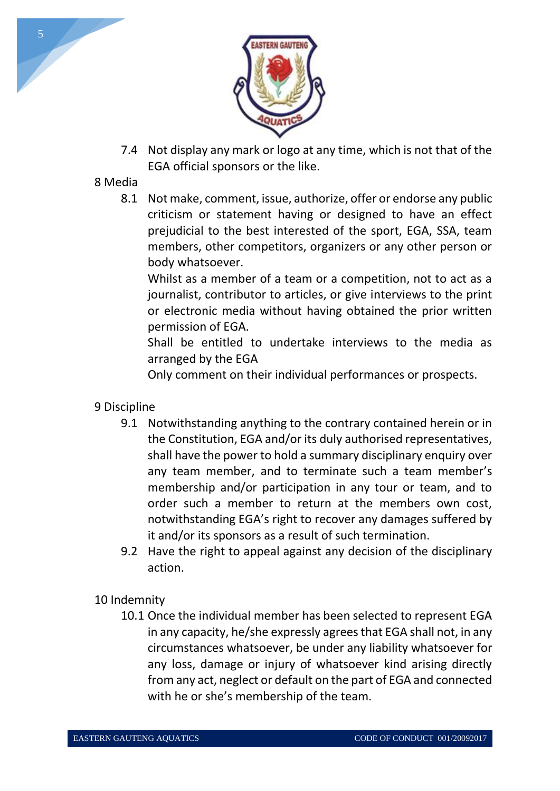

7.4 Not display any mark or logo at any time, which is not that of the EGA official sponsors or the like.

## 8 Media

8.1 Not make, comment, issue, authorize, offer or endorse any public criticism or statement having or designed to have an effect prejudicial to the best interested of the sport, EGA, SSA, team members, other competitors, organizers or any other person or body whatsoever.

Whilst as a member of a team or a competition, not to act as a journalist, contributor to articles, or give interviews to the print or electronic media without having obtained the prior written permission of EGA.

Shall be entitled to undertake interviews to the media as arranged by the EGA

Only comment on their individual performances or prospects.

- 9 Discipline
	- 9.1 Notwithstanding anything to the contrary contained herein or in the Constitution, EGA and/or its duly authorised representatives, shall have the power to hold a summary disciplinary enquiry over any team member, and to terminate such a team member's membership and/or participation in any tour or team, and to order such a member to return at the members own cost, notwithstanding EGA's right to recover any damages suffered by it and/or its sponsors as a result of such termination.
	- 9.2 Have the right to appeal against any decision of the disciplinary action.

## 10 Indemnity

10.1 Once the individual member has been selected to represent EGA in any capacity, he/she expressly agrees that EGA shall not, in any circumstances whatsoever, be under any liability whatsoever for any loss, damage or injury of whatsoever kind arising directly from any act, neglect or default on the part of EGA and connected with he or she's membership of the team.

5